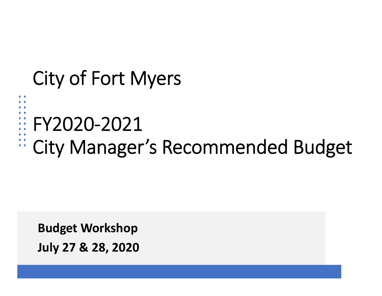#### • • City of Fort Myers

• • • • • • • • FY2020‐2021

• • • •

• • • • • • City Manager's Recommended Budget

**Budget Workshop July 27 & 28, 2020**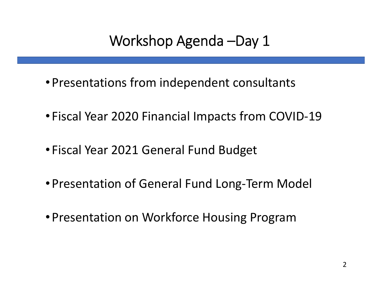Workshop Agenda –Day 1

- Presentations from independent consultants
- Fiscal Year 2020 Financial Impacts from COVID‐19
- Fiscal Year 2021 General Fund Budget
- Presentation of General Fund Long‐Term Model
- Presentation on Workforce Housing Program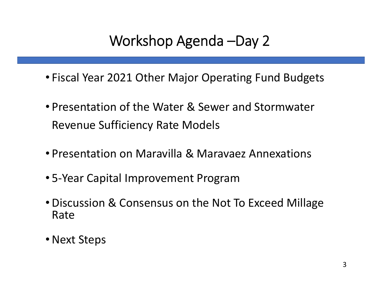## Workshop Agenda –Day 2

- Fiscal Year 2021 Other Major Operating Fund Budgets
- Presentation of the Water & Sewer and Stormwater Revenue Sufficiency Rate Models
- Presentation on Maravilla & Maravaez Annexations
- 5‐Year Capital Improvement Program
- Discussion & Consensus on the Not To Exceed Millage Rate
- Next Steps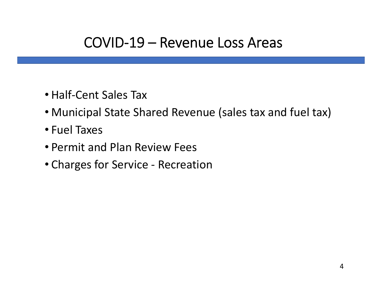#### COVID‐19 – Revenue Loss Areas

- Half‐Cent Sales Tax
- Municipal State Shared Revenue (sales tax and fuel tax)
- Fuel Taxes
- Permit and Plan Review Fees
- Charges for Service ‐ Recreation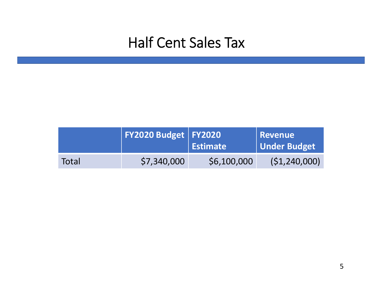#### Half Cent Sales Tax

|       | FY2020 Budget   FY2020 | <b>Estimate</b> | Revenue<br>Under Budget |
|-------|------------------------|-----------------|-------------------------|
| Total | \$7,340,000            | \$6,100,000     | (51, 240, 000)          |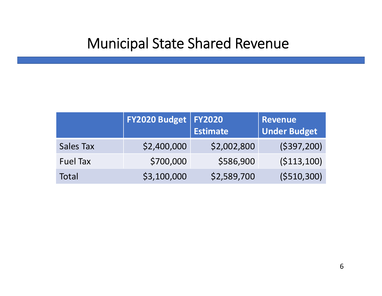#### Municipal State Shared Revenue

|                  | FY2020 Budget | <b>FY2020</b><br><b>Estimate</b> | <b>Revenue</b><br><b>Under Budget</b> |
|------------------|---------------|----------------------------------|---------------------------------------|
| <b>Sales Tax</b> | \$2,400,000   | \$2,002,800                      | (5397, 200)                           |
| <b>Fuel Tax</b>  | \$700,000     | \$586,900                        | ( \$113,100)                          |
| Total            | \$3,100,000   | \$2,589,700                      | ( \$510, 300)                         |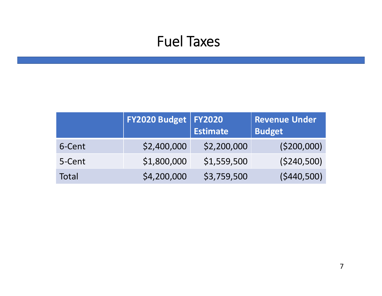#### Fuel Taxes

|        | FY2020 Budget   FY2020 | <b>Estimate</b> | <b>Revenue Under</b><br><b>Budget</b> |
|--------|------------------------|-----------------|---------------------------------------|
| 6-Cent | \$2,400,000            | \$2,200,000     | (5200,000)                            |
| 5-Cent | \$1,800,000            | \$1,559,500     | (\$240,500)                           |
| Total  | \$4,200,000            | \$3,759,500     | (5440,500)                            |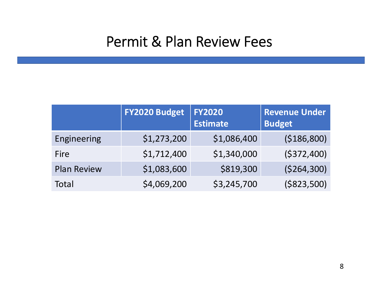#### Permit & Plan Review Fees

|                    | FY2020 Budget | <b>FY2020</b><br><b>Estimate</b> | <b>Revenue Under</b><br><b>Budget</b> |  |
|--------------------|---------------|----------------------------------|---------------------------------------|--|
| Engineering        | \$1,273,200   | \$1,086,400                      | (\$186,800)                           |  |
| Fire               | \$1,712,400   | \$1,340,000                      | (5372,400)                            |  |
| <b>Plan Review</b> | \$1,083,600   | \$819,300                        | ( \$264, 300)                         |  |
| Total              | \$4,069,200   | \$3,245,700                      | ( \$823, 500)                         |  |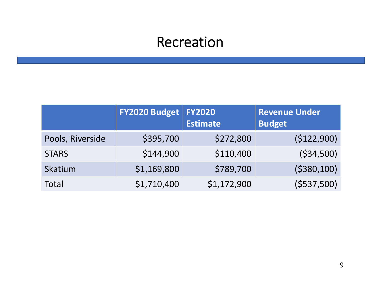#### Recreation

|                  | FY2020 Budget | <b>FY2020</b><br><b>Estimate</b> | <b>Revenue Under</b><br><b>Budget</b> |
|------------------|---------------|----------------------------------|---------------------------------------|
| Pools, Riverside | \$395,700     | \$272,800                        | (\$122,900)                           |
| <b>STARS</b>     | \$144,900     | \$110,400                        | ( \$34,500)                           |
| Skatium          | \$1,169,800   | \$789,700                        | ( \$380, 100)                         |
| Total            | \$1,710,400   | \$1,172,900                      | (5537,500)                            |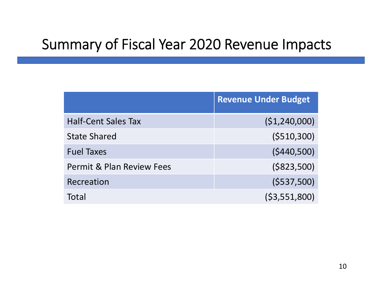### Summary of Fiscal Year 2020 Revenue Impacts

|                                      | <b>Revenue Under Budget</b> |
|--------------------------------------|-----------------------------|
| <b>Half-Cent Sales Tax</b>           | (51, 240, 000)              |
| <b>State Shared</b>                  | (5510, 300)                 |
| <b>Fuel Taxes</b>                    | (5440,500)                  |
| <b>Permit &amp; Plan Review Fees</b> | ( \$823,500)                |
| Recreation                           | (5537,500)                  |
| Total                                | ( \$3,551,800)              |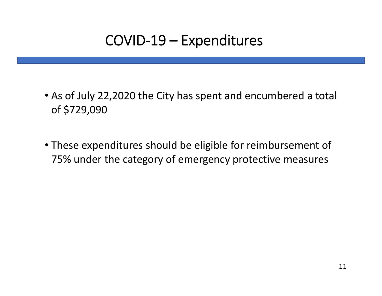### COVID‐19 – Expenditures

- As of July 22,2020 the City has spent and encumbered a total of \$729,090
- These expenditures should be eligible for reimbursement of 75% under the category of emergency protective measures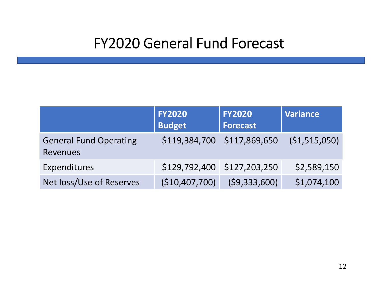#### FY2020 General Fund Forecast

|                                                  | <b>FY2020</b><br><b>Budget</b> | <b>FY2020</b><br><b>Forecast</b> | <b>Variance</b> |
|--------------------------------------------------|--------------------------------|----------------------------------|-----------------|
| <b>General Fund Operating</b><br><b>Revenues</b> |                                | \$119,384,700 \$117,869,650      | (51,515,050)    |
| Expenditures                                     |                                | \$129,792,400 \$127,203,250      | \$2,589,150     |
| Net loss/Use of Reserves                         | (\$10,407,700)                 | (59, 333, 600)                   | \$1,074,100     |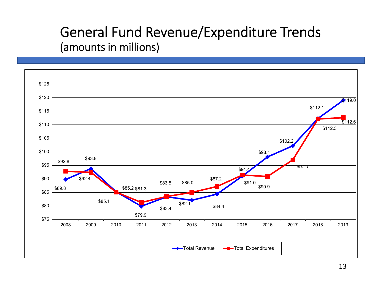#### General Fund Revenue/Expenditure Trends (amounts in millions)

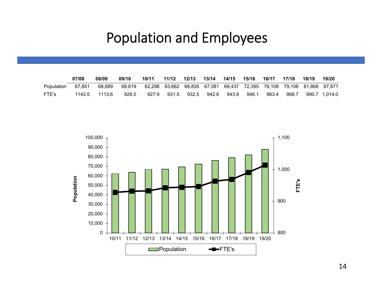### Population and Employees

|            | 07/08  | 08/09  | 09/10  | 10/11                                                                 | 11/12 | 12/13 | 13/14 | 14/15 | 15/16 | 16/17 | 17/18 | 18/19 | 19/20         |
|------------|--------|--------|--------|-----------------------------------------------------------------------|-------|-------|-------|-------|-------|-------|-------|-------|---------------|
| Population | 67.851 | 68.689 | 68.819 | 62,298 63,662 66,835 67,081 69,437 72,395 76,108 79,106 81,868 87,871 |       |       |       |       |       |       |       |       |               |
| FTE's      | 1143.5 | 1113.6 | 928.0  | 927.9                                                                 | 931.5 | 932.5 | 942.6 | 943.9 | 946.1 | 963.4 | 968.7 |       | 990.7 1.014.0 |

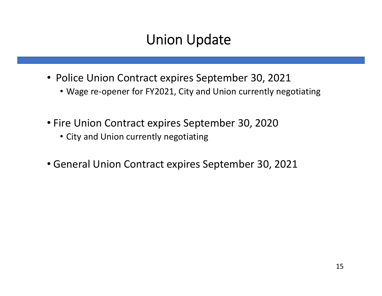#### Union Update

- Police Union Contract expires September 30, 2021
	- Wage re‐opener for FY2021, City and Union currently negotiating
- Fire Union Contract expires September 30, 2020
	- City and Union currently negotiating
- General Union Contract expires September 30, 2021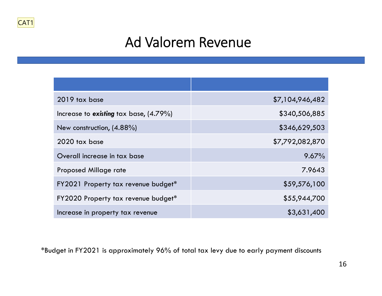<span id="page-15-0"></span>

### Ad Valorem Revenue

| 2019 tax base                             | \$7,104,946,482 |
|-------------------------------------------|-----------------|
| Increase to existing tax base, $(4.79\%)$ | \$340,506,885   |
| New construction, $(4.88\%)$              | \$346,629,503   |
| 2020 tax base                             | \$7,792,082,870 |
| Overall increase in tax base              | 9.67%           |
| Proposed Millage rate                     | 7.9643          |
| FY2021 Property tax revenue budget*       | \$59,576,100    |
| FY2020 Property tax revenue budget*       | \$55,944,700    |
| Increase in property tax revenue          | \$3,631,400     |

\*Budget in FY2021 is approximately 96% of total tax levy due to early payment discounts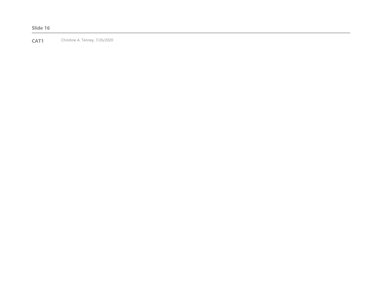**CAT1** Christine A. Tenney, 7/26/2020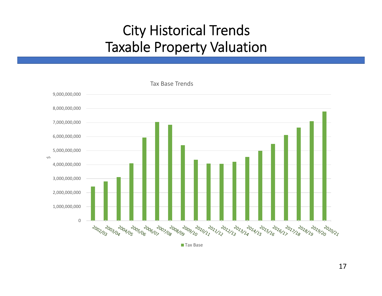### City Historical Trends Taxable Property Valuation



**Tax Base**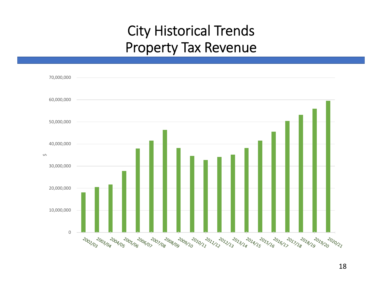### City Historical Trends Property Tax Revenue

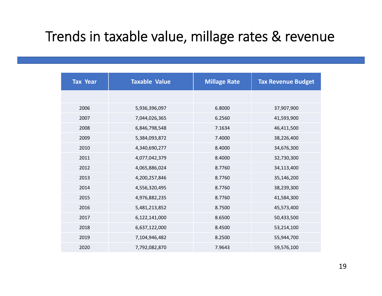#### Trends in taxable value, millage rates & revenue

| <b>Tax Year</b> | <b>Taxable Value</b><br><b>Millage Rate</b> |        | <b>Tax Revenue Budget</b> |
|-----------------|---------------------------------------------|--------|---------------------------|
|                 |                                             |        |                           |
| 2006            | 5,936,396,097                               | 6.8000 | 37,907,900                |
| 2007            | 7,044,026,365                               | 6.2560 | 41,593,900                |
| 2008            | 6,846,798,548                               | 7.1634 | 46,411,500                |
| 2009            | 5,384,093,872                               | 7.4000 | 38,226,400                |
| 2010            | 4,340,690,277                               | 8.4000 | 34,676,300                |
| 2011            | 4,077,042,379                               | 8.4000 | 32,730,300                |
| 2012            | 4,065,886,024                               | 8.7760 | 34,113,400                |
| 2013            | 4,200,257,846                               | 8.7760 | 35,146,200                |
| 2014            | 4,556,320,495                               | 8.7760 | 38,239,300                |
| 2015            | 4,976,882,235                               | 8.7760 | 41,584,300                |
| 2016            | 5,481,213,852                               | 8.7500 | 45,573,400                |
| 2017            | 6,122,141,000                               | 8.6500 | 50,433,500                |
| 2018            | 6,637,122,000                               | 8.4500 | 53,214,100                |
| 2019            | 7,104,946,482                               | 8.2500 | 55,944,700                |
| 2020            | 7,792,082,870                               | 7.9643 | 59,576,100                |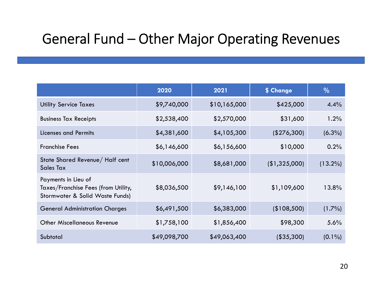### General Fund – Other Major Operating Revenues

|                                                                                               | 2020         | 2021         | \$ Change     | $\frac{0}{0}$ |
|-----------------------------------------------------------------------------------------------|--------------|--------------|---------------|---------------|
| <b>Utility Service Taxes</b>                                                                  | \$9,740,000  | \$10,165,000 | \$425,000     | 4.4%          |
| <b>Business Tax Receipts</b>                                                                  | \$2,538,400  | \$2,570,000  | \$31,600      | 1.2%          |
| <b>Licenses and Permits</b>                                                                   | \$4,381,600  | \$4,105,300  | (\$276,300)   | $(6.3\%)$     |
| <b>Franchise Fees</b>                                                                         | \$6,146,600  | \$6,156,600  | \$10,000      | 0.2%          |
| State Shared Revenue/ Half cent<br>Sales Tax                                                  | \$10,006,000 | \$8,681,000  | (\$1,325,000) | $(13.2\%)$    |
| Payments in Lieu of<br>Taxes/Franchise Fees (from Utility,<br>Stormwater & Solid Waste Funds) | \$8,036,500  | \$9,146,100  | \$1,109,600   | 13.8%         |
| <b>General Administration Charges</b>                                                         | \$6,491,500  | \$6,383,000  | (\$108,500)   | $(1.7\%)$     |
| <b>Other Miscellaneous Revenue</b>                                                            | \$1,758,100  | \$1,856,400  | \$98,300      | 5.6%          |
| Subtotal                                                                                      | \$49,098,700 | \$49,063,400 | ( \$35,300)   | $(0.1\%)$     |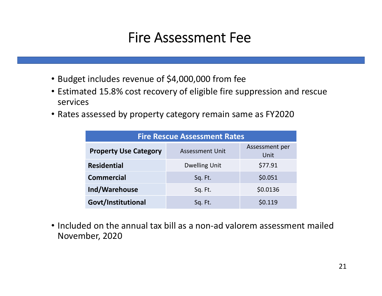#### Fire Assessment Fee

- Budget includes revenue of \$4,000,000 from fee
- Estimated 15.8% cost recovery of eligible fire suppression and rescue services
- Rates assessed by property category remain same as FY2020

| <b>Fire Rescue Assessment Rates</b> |                        |                        |  |  |  |  |
|-------------------------------------|------------------------|------------------------|--|--|--|--|
| <b>Property Use Category</b>        | <b>Assessment Unit</b> | Assessment per<br>Unit |  |  |  |  |
| <b>Residential</b>                  | <b>Dwelling Unit</b>   | \$77.91                |  |  |  |  |
| <b>Commercial</b>                   | Sq. Ft.                | \$0.051                |  |  |  |  |
| Ind/Warehouse                       | Sq. Ft.                | \$0.0136               |  |  |  |  |
| Govt/Institutional                  | Sq. Ft.                | \$0.119                |  |  |  |  |

• Included on the annual tax bill as a non-ad valorem assessment mailed November, 2020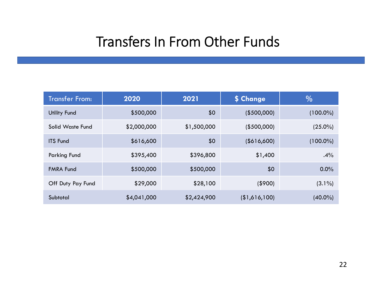#### Transfers In From Other Funds

| <b>Transfer From:</b> | 2020        | 2021        | \$ Change      | $\frac{0}{0}$ |
|-----------------------|-------------|-------------|----------------|---------------|
| <b>Utility Fund</b>   | \$500,000   | \$0         | $($ \$500,000) | $(100.0\%)$   |
| Solid Waste Fund      | \$2,000,000 | \$1,500,000 | $($ \$500,000) | $(25.0\%)$    |
| <b>ITS Fund</b>       | \$616,600   | \$0         | (\$616,600)    | $(100.0\%)$   |
| Parking Fund          | \$395,400   | \$396,800   | \$1,400        | .4%           |
| <b>FMRA Fund</b>      | \$500,000   | \$500,000   | \$0            | 0.0%          |
| Off Duty Pay Fund     | \$29,000    | \$28,100    | ( \$900)       | $(3.1\%)$     |
| Subtotal              | \$4,041,000 | \$2,424,900 | (\$1,616,100)  | $(40.0\%)$    |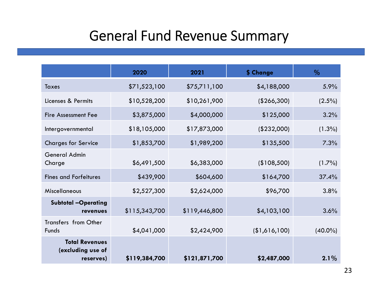### General Fund Revenue Summary

|                                                         | 2020          | 2021          | \$ Change     | $\frac{0}{0}$ |
|---------------------------------------------------------|---------------|---------------|---------------|---------------|
| Taxes                                                   | \$71,523,100  | \$75,711,100  | \$4,188,000   | 5.9%          |
| Licenses & Permits                                      | \$10,528,200  | \$10,261,900  | (\$266,300)   | $(2.5\%)$     |
| <b>Fire Assessment Fee</b>                              | \$3,875,000   | \$4,000,000   | \$125,000     | 3.2%          |
| Intergovernmental                                       | \$18,105,000  | \$17,873,000  | (\$232,000)   | $(1.3\%)$     |
| <b>Charges for Service</b>                              | \$1,853,700   | \$1,989,200   | \$135,500     | 7.3%          |
| <b>General Admin</b><br>Charge                          | \$6,491,500   | \$6,383,000   | (\$108,500)   | $(1.7\%)$     |
| <b>Fines and Forfeitures</b>                            | \$439,900     | \$604,600     | \$164,700     | 37.4%         |
| <b>Miscellaneous</b>                                    | \$2,527,300   | \$2,624,000   | \$96,700      | 3.8%          |
| <b>Subtotal -Operating</b><br>revenues                  | \$115,343,700 | \$119,446,800 | \$4,103,100   | 3.6%          |
| <b>Transfers from Other</b><br><b>Funds</b>             | \$4,041,000   | \$2,424,900   | (\$1,616,100) | $(40.0\%)$    |
| <b>Total Revenues</b><br>(excluding use of<br>reserves) | \$119,384,700 | \$121,871,700 | \$2,487,000   | $2.1\%$       |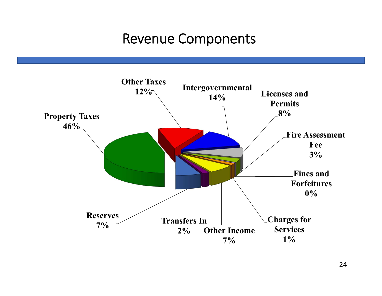#### Revenue Components

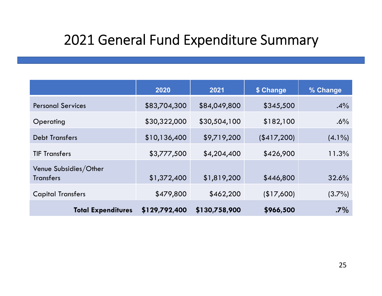### 2021 General Fund Expenditure Summary

|                                           | 2020          | 2021          | \$ Change   | % Change  |
|-------------------------------------------|---------------|---------------|-------------|-----------|
| <b>Personal Services</b>                  | \$83,704,300  | \$84,049,800  | \$345,500   | .4%       |
| Operating                                 | \$30,322,000  | \$30,504,100  | \$182,100   | .6%       |
| <b>Debt Transfers</b>                     | \$10,136,400  | \$9,719,200   | (\$417,200) | $(4.1\%)$ |
| <b>TIF Transfers</b>                      | \$3,777,500   | \$4,204,400   | \$426,900   | 11.3%     |
| Venue Subsidies/Other<br><b>Transfers</b> | \$1,372,400   | \$1,819,200   | \$446,800   | 32.6%     |
| <b>Capital Transfers</b>                  | \$479,800     | \$462,200     | (\$17,600)  | $(3.7\%)$ |
| <b>Total Expenditures</b>                 | \$129,792,400 | \$130,758,900 | \$966,500   | $.7\%$    |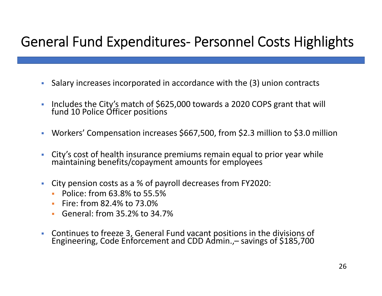### General Fund Expenditures‐ Personnel Costs Highlights

- Г Salary increases incorporated in accordance with the (3) union contracts
- Г Includes the City's match of \$625,000 towards a 2020 COPS grant that will fund 10 Police Officer positions
- $\mathcal{L}_{\mathcal{A}}$ Workers' Compensation increases \$667,500, from \$2.3 million to \$3.0 million
- Г City's cost of health insurance premiums remain equal to prior year while maintaining benefits/copayment amounts for employees
- $\mathcal{L}_{\mathcal{A}}$  City pension costs as a % of payroll decreases from FY2020:
	- Police: from 63.8% to 55.5%
	- П Fire: from 82.4% to 73.0%
	- П General: from 35.2% to 34.7%
- $\mathcal{L}_{\mathcal{A}}$ Continues to freeze 3, General Fund vacant positions in the divisions of Engineering, Code Enforcement and CDD Admin.,– savings of \$185,700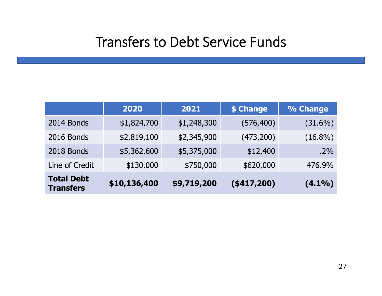#### Transfers to Debt Service Funds

|                                       | 2020         | 2021        | \$ Change      | % Change   |
|---------------------------------------|--------------|-------------|----------------|------------|
| 2014 Bonds                            | \$1,824,700  | \$1,248,300 | (576, 400)     | $(31.6\%)$ |
| 2016 Bonds                            | \$2,819,100  | \$2,345,900 | (473, 200)     | $(16.8\%)$ |
| 2018 Bonds                            | \$5,362,600  | \$5,375,000 | \$12,400       | $.2\%$     |
| Line of Credit                        | \$130,000    | \$750,000   | \$620,000      | 476.9%     |
| <b>Total Debt</b><br><b>Transfers</b> | \$10,136,400 | \$9,719,200 | $($ \$417,200) | $(4.1\%)$  |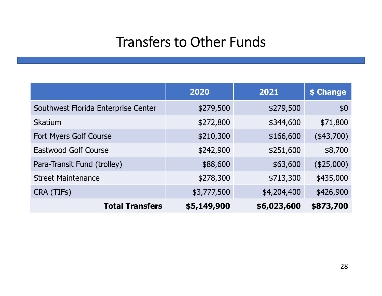### Transfers to Other Funds

|                                     | 2020        | 2021        | \$ Change  |
|-------------------------------------|-------------|-------------|------------|
| Southwest Florida Enterprise Center | \$279,500   | \$279,500   | \$0        |
| <b>Skatium</b>                      | \$272,800   | \$344,600   | \$71,800   |
| Fort Myers Golf Course              | \$210,300   | \$166,600   | (\$43,700) |
| <b>Eastwood Golf Course</b>         | \$242,900   | \$251,600   | \$8,700    |
| Para-Transit Fund (trolley)         | \$88,600    | \$63,600    | (\$25,000) |
| <b>Street Maintenance</b>           | \$278,300   | \$713,300   | \$435,000  |
| CRA (TIFs)                          | \$3,777,500 | \$4,204,400 | \$426,900  |
| <b>Total Transfers</b>              | \$5,149,900 | \$6,023,600 | \$873,700  |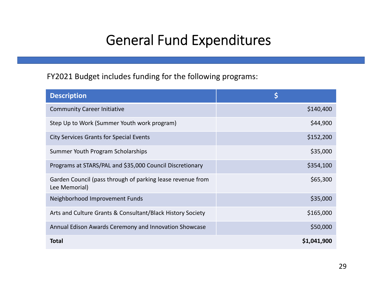### General Fund Expenditures

#### FY2021 Budget includes funding for the following programs:

| <b>Description</b>                                                          |             |
|-----------------------------------------------------------------------------|-------------|
| <b>Community Career Initiative</b>                                          | \$140,400   |
| Step Up to Work (Summer Youth work program)                                 | \$44,900    |
| <b>City Services Grants for Special Events</b>                              | \$152,200   |
| Summer Youth Program Scholarships                                           | \$35,000    |
| Programs at STARS/PAL and \$35,000 Council Discretionary                    | \$354,100   |
| Garden Council (pass through of parking lease revenue from<br>Lee Memorial) | \$65,300    |
| Neighborhood Improvement Funds                                              | \$35,000    |
| Arts and Culture Grants & Consultant/Black History Society                  | \$165,000   |
| Annual Edison Awards Ceremony and Innovation Showcase                       | \$50,000    |
| <b>Total</b>                                                                | \$1,041,900 |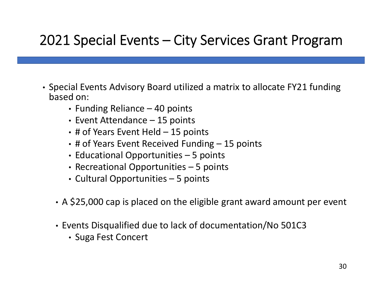### 2021 Special Events – City Services Grant Program

- Special Events Advisory Board utilized a matrix to allocate FY21 funding based on:
	- Funding Reliance 40 points
	- Event Attendance 15 points
	- # of Years Event Held 15 points
	- # of Years Event Received Funding 15 points
	- Educational Opportunities 5 points
	- Recreational Opportunities 5 points
	- Cultural Opportunities 5 points
	- A \$25,000 cap is placed on the eligible grant award amount per event
	- Events Disqualified due to lack of documentation/No 501C3
		- Suga Fest Concert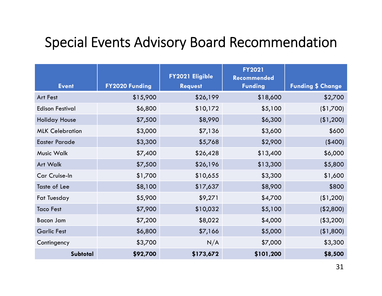#### Special Events Advisory Board Recommendation

|                        |                       | <b>FY2021 Eligible</b> | <b>FY2021</b><br><b>Recommended</b> |                          |
|------------------------|-----------------------|------------------------|-------------------------------------|--------------------------|
| <b>Event</b>           | <b>FY2020 Funding</b> | <b>Request</b>         | <b>Funding</b>                      | <b>Funding \$ Change</b> |
| Art Fest               | \$15,900              | \$26,199               | \$18,600                            | \$2,700                  |
| <b>Edison Festival</b> | \$6,800               | \$10,172               | \$5,100                             | (\$1,700)                |
| <b>Holiday House</b>   | \$7,500               | \$8,990                | \$6,300                             | (1,200)                  |
| <b>MLK Celebration</b> | \$3,000               | \$7,136                | \$3,600                             | \$600                    |
| <b>Easter Parade</b>   | \$3,300               | \$5,768                | \$2,900                             | (\$400)                  |
| <b>Music Walk</b>      | \$7,400               | \$26,428               | \$13,400                            | \$6,000                  |
| <b>Art Walk</b>        | \$7,500               | \$26,196               | \$13,300                            | \$5,800                  |
| Car Cruise-In          | \$1,700               | \$10,655               | \$3,300                             | \$1,600                  |
| Taste of Lee           | \$8,100               | \$17,637               | \$8,900                             | \$800                    |
| <b>Fat Tuesday</b>     | \$5,900               | \$9,271                | \$4,700                             | (\$1,200)                |
| <b>Taco Fest</b>       | \$7,900               | \$10,032               | \$5,100                             | (\$2,800)                |
| <b>Bacon Jam</b>       | \$7,200               | \$8,022                | \$4,000                             | (\$3,200)                |
| <b>Garlic Fest</b>     | \$6,800               | \$7,166                | \$5,000                             | (1,800)                  |
| Contingency            | \$3,700               | N/A                    | \$7,000                             | \$3,300                  |
| Subtotal               | \$92,700              | \$173,672              | \$101,200                           | \$8,500                  |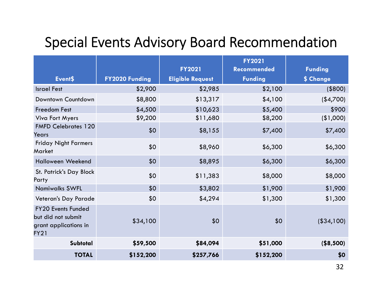#### Special Events Advisory Board Recommendation

|                                                                                         |                | <b>FY2021</b>           | <b>FY2021</b><br><b>Recommended</b> | <b>Funding</b> |
|-----------------------------------------------------------------------------------------|----------------|-------------------------|-------------------------------------|----------------|
| Event\$                                                                                 | FY2020 Funding | <b>Eligible Request</b> | <b>Funding</b>                      | \$ Change      |
| <b>Israel Fest</b>                                                                      | \$2,900        | \$2,985                 | \$2,100                             | ( \$800)       |
| Downtown Countdown                                                                      | \$8,800        | \$13,317                | \$4,100                             | (\$4,700)      |
| <b>Freedom Fest</b>                                                                     | \$4,500        | \$10,623                | \$5,400                             | \$900          |
| <b>Viva Fort Myers</b>                                                                  | \$9,200        | \$11,680                | \$8,200                             | (1,000)        |
| <b>FMFD Celebrates 120</b><br>Years                                                     | \$0            | \$8,155                 | \$7,400                             | \$7,400        |
| <b>Friday Night Farmers</b><br><b>Market</b>                                            | \$0            | \$8,960                 | \$6,300                             | \$6,300        |
| <b>Halloween Weekend</b>                                                                | \$0            | \$8,895                 | \$6,300                             | \$6,300        |
| St. Patrick's Day Block<br>Party                                                        | \$0            | \$11,383                | \$8,000                             | \$8,000        |
| <b>Namiwalks SWFL</b>                                                                   | \$0            | \$3,802                 | \$1,900                             | \$1,900        |
| Veteran's Day Parade                                                                    | \$0            | \$4,294                 | \$1,300                             | \$1,300        |
| <b>FY20 Events Funded</b><br>but did not submit<br>grant applications in<br><b>FY21</b> | \$34,100       | \$0                     | \$0                                 | (\$34,100)     |
| Subtotal                                                                                | \$59,500       | \$84,094                | \$51,000                            | (\$8,500)      |
| <b>TOTAL</b>                                                                            | \$152,200      | \$257,766               | \$152,200                           | \$0            |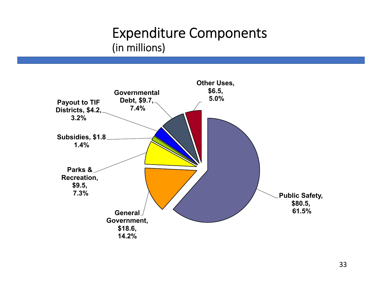#### Expenditure Components (in millions)

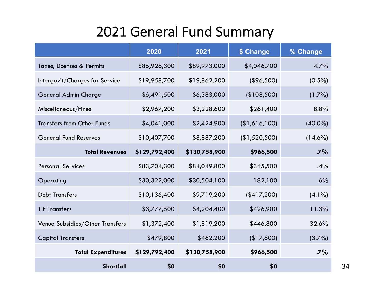### 2021 General Fund Summary

|                                   | 2020          | 2021          | \$ Change     | % Change   |
|-----------------------------------|---------------|---------------|---------------|------------|
| Taxes, Licenses & Permits         | \$85,926,300  | \$89,973,000  | \$4,046,700   | 4.7%       |
| Intergov't/Charges for Service    | \$19,958,700  | \$19,862,200  | (\$96,500)    | $(0.5\%)$  |
| General Admin Charge              | \$6,491,500   | \$6,383,000   | (\$108,500)   | $(1.7\%)$  |
| Miscellaneous/Fines               | \$2,967,200   | \$3,228,600   | \$261,400     | 8.8%       |
| <b>Transfers from Other Funds</b> | \$4,041,000   | \$2,424,900   | (\$1,616,100) | $(40.0\%)$ |
| <b>General Fund Reserves</b>      | \$10,407,700  | \$8,887,200   | (\$1,520,500) | $(14.6\%)$ |
| <b>Total Revenues</b>             | \$129,792,400 | \$130,758,900 | \$966,500     | $.7\%$     |
| <b>Personal Services</b>          | \$83,704,300  | \$84,049,800  | \$345,500     | .4%        |
| Operating                         | \$30,322,000  | \$30,504,100  | 182,100       | .6%        |
| <b>Debt Transfers</b>             | \$10,136,400  | \$9,719,200   | (\$417,200)   | $(4.1\%)$  |
| <b>TIF Transfers</b>              | \$3,777,500   | \$4,204,400   | \$426,900     | 11.3%      |
| Venue Subsidies/Other Transfers   | \$1,372,400   | \$1,819,200   | \$446,800     | 32.6%      |
| <b>Capital Transfers</b>          | \$479,800     | \$462,200     | \$17,600      | $(3.7\%)$  |
| <b>Total Expenditures</b>         | \$129,792,400 | \$130,758,900 | \$966,500     | $.7\%$     |
| Shortfall                         | \$0           | \$0           | \$0           |            |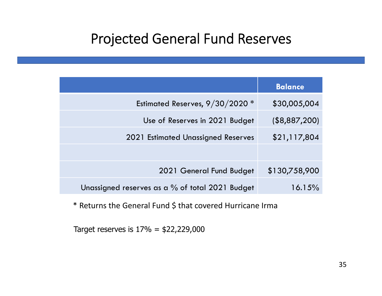#### Projected General Fund Reserves

|                                                 | <b>Balance</b> |
|-------------------------------------------------|----------------|
| Estimated Reserves, $9/30/2020$ *               | \$30,005,004   |
| Use of Reserves in 2021 Budget                  | (\$8,887,200)  |
| 2021 Estimated Unassigned Reserves              | \$21,117,804   |
|                                                 |                |
| 2021 General Fund Budget                        | \$130,758,900  |
| Unassigned reserves as a % of total 2021 Budget | $16.15\%$      |

\* Returns the General Fund \$ that covered Hurricane Irma

Target reserves is  $17\% = $22,229,000$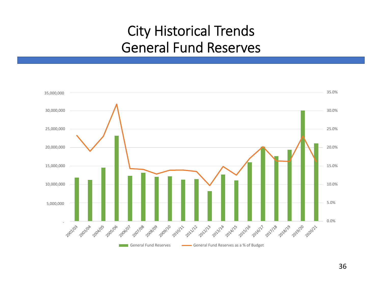#### City Historical Trends General Fund Reserves

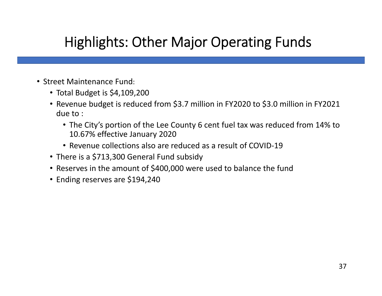- Street Maintenance Fund:
	- Total Budget is \$4,109,200
	- Revenue budget is reduced from \$3.7 million in FY2020 to \$3.0 million in FY2021 due to :
		- The City's portion of the Lee County 6 cent fuel tax was reduced from 14% to 10.67% effective January 2020
		- Revenue collections also are reduced as a result of COVID‐19
	- There is a \$713,300 General Fund subsidy
	- Reserves in the amount of \$400,000 were used to balance the fun d
	- Ending reserves are \$194,240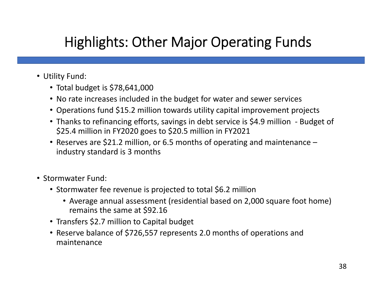- Utility Fund:
	- Total budget is \$78,641,000
	- No rate increases included in the budget for water and sewer services
	- Operations fund \$15.2 million towards utility capital improvement projects
	- Thanks to refinancing efforts, savings in debt service is \$4.9 million Budget of \$25.4 million in FY2020 goes to \$20.5 million in FY2021
	- Reserves are \$21.2 million, or 6.5 months of operating and maintenance industry standard is 3 months
- Stormwater Fund:
	- Stormwater fee revenue is projected to total \$6.2 million
		- Average annual assessment (residential based on 2,000 square foot home) remains the same at \$92.16
	- Transfers \$2.7 million to Capital budget
	- Reserve balance of \$726,557 represents 2.0 months of operations and maintenance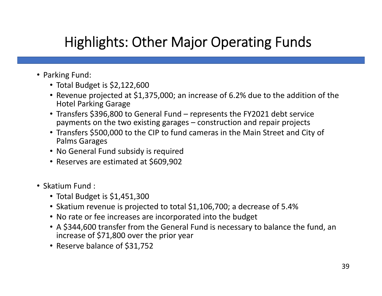- Parking Fund:
	- Total Budget is \$2,122,600
	- Revenue projected at \$1,375,000; an increase of 6.2% due to the addition of the Hotel Parking Garage
	- Transfers \$396,800 to General Fund represents the FY2021 debt service payments on the two existing garages – construction and repair projects
	- Transfers \$500,000 to the CIP to fund cameras in the Main Street and City of Palms Garages
	- No General Fund subsidy is required
	- Reserves are estimated at \$609,902
- Skatium Fund :
	- Total Budget is \$1,451,300
	- Skatium revenue is projected to total \$1,106,700; a decrease of 5.4%
	- No rate or fee increases are incorporated into the budget
	- A \$344,600 transfer from the General Fund is necessary to balance the fund, an increase of \$71,800 over the prior year
	- Reserve balance of \$31,752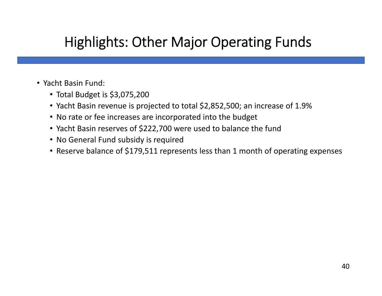- Yacht Basin Fund:
	- Total Budget is \$3,075,200
	- Yacht Basin revenue is projected to total \$2,852,500; an increase of 1.9%
	- No rate or fee increases are incorporated into the budget
	- Yacht Basin reserves of \$222,700 were used to balance the fund
	- No General Fund subsidy is required
	- Reserve balance of \$179,511 represents less than 1 month of operating expenses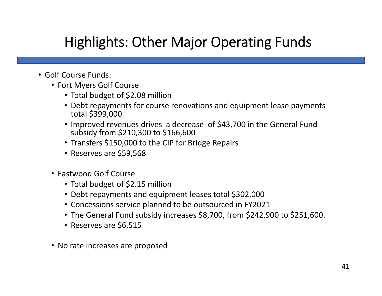- Golf Course Funds:
	- Fort Myers Golf Course
		- Total budget of \$2.08 million
		- Debt repayments for course renovations and equipment lease payments total \$399,000
		- Improved revenues drives a decrease of \$43,700 in the General Fund subsidy from \$210,300 to \$166,600
		- Transfers \$150,000 to the CIP for Bridge Repairs
		- Reserves are \$59,568
	- Eastwood Golf Course
		- Total budget of \$2.15 million
		- Debt repayments and equipment leases total \$302,000
		- Concessions service planned to be outsourced in FY2021
		- The General Fund subsidy increases \$8,700, from \$242,900 to \$251,600.
		- Reserves are \$6,515
	- No rate increases are proposed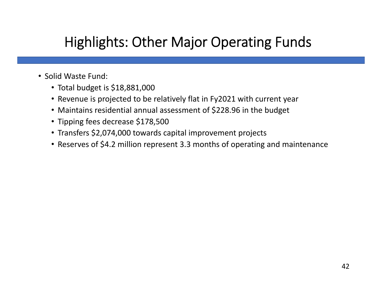- Solid Waste Fund:
	- Total budget is \$18,881,000
	- Revenue is projected to be relatively flat in Fy2021 with current year
	- Maintains residential annual assessment of \$228.96 in the budget
	- Tipping fees decrease \$178,500
	- Transfers \$2,074,000 towards capital improvement projects
	- Reserves of \$4.2 million represent 3.3 months of operating and maintenance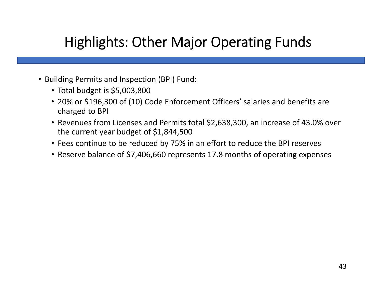- Building Permits and Inspection (BPI) Fund:
	- Total budget is \$5,003,800
	- 20% or \$196,300 of (10) Code Enforcement Officers' salaries and benefits are charged to BPI
	- Revenues from Licenses and Permits total \$2,638,300, an increase of 43.0% over the current year budget of \$1,844,500
	- Fees continue to be reduced by 75% in an effort to reduce the BPI reserves
	- Reserve balance of \$7,406,660 represents 17.8 months of operating expenses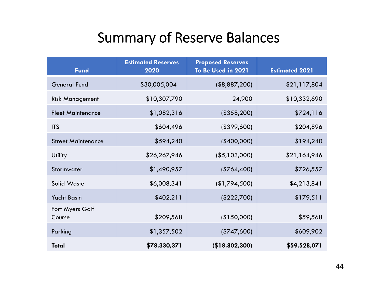### Summary of Reserve Balances

| <b>Fund</b>               | <b>Estimated Reserves</b><br>2020 | <b>Proposed Reserves</b><br>To Be Used in 2021 | <b>Estimated 2021</b> |
|---------------------------|-----------------------------------|------------------------------------------------|-----------------------|
| <b>General Fund</b>       | \$30,005,004                      | (\$8,887,200)                                  | \$21,117,804          |
| <b>Risk Management</b>    | \$10,307,790                      | 24,900                                         | \$10,332,690          |
| <b>Fleet Maintenance</b>  | \$1,082,316                       | (\$358,200)                                    | \$724,116             |
| <b>ITS</b>                | \$604,496                         | (15399,600)                                    | \$204,896             |
| <b>Street Maintenance</b> | \$594,240                         | $(*400,000)$                                   | \$194,240             |
| <b>Utility</b>            | \$26,267,946                      | ( \$5,103,000)                                 | \$21,164,946          |
| Stormwater                | \$1,490,957                       | (\$764,400)                                    | \$726,557             |
| <b>Solid Waste</b>        | \$6,008,341                       | (1,794,500)                                    | \$4,213,841           |
| <b>Yacht Basin</b>        | \$402,211                         | (\$222,700)                                    | \$179,511             |
| Fort Myers Golf<br>Course | \$209,568                         | (\$150,000)                                    | \$59,568              |
| Parking                   | \$1,357,502                       | (\$747,600)                                    | \$609,902             |
| <b>Total</b>              | \$78,330,371                      | (\$18,802,300)                                 | \$59,528,071          |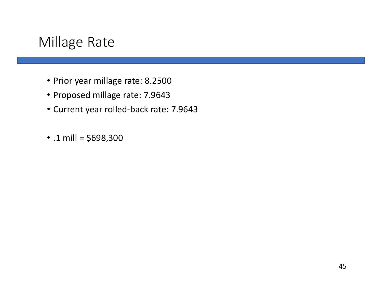#### Millage Rate

- Prior year millage rate: 8.2500
- Proposed millage rate: 7.9643
- Current year rolled‐back rate: 7.9643
- .1 mill = \$698,300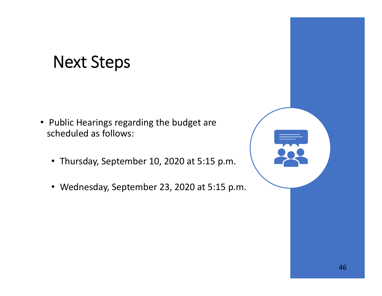### Next Steps

- Public Hearings regarding the budget are scheduled as follows:
	- Thursday, September 10, 2020 at 5:15 p.m.
	- Wednesday, September 23, 2020 at 5:15 p.m.